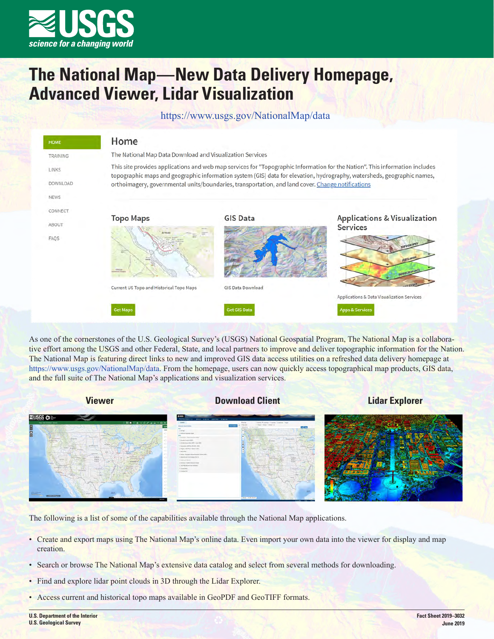

# **The National Map—New Data Delivery Homepage, Advanced Viewer, Lidar Visualization**

https://www.usgs.gov/NationalMap/data

| <b>HOME</b>                             | Home                                                                                                                                                                                                                                                                                                                                                         |                     |                                                            |
|-----------------------------------------|--------------------------------------------------------------------------------------------------------------------------------------------------------------------------------------------------------------------------------------------------------------------------------------------------------------------------------------------------------------|---------------------|------------------------------------------------------------|
| <b>TRAINING</b>                         | The National Map Data Download and Visualization Services                                                                                                                                                                                                                                                                                                    |                     |                                                            |
| <b>LINKS</b><br>DOWNLOAD<br><b>NEWS</b> | This site provides applications and web map services for "Topographic Information for the Nation". This information includes<br>topographic maps and geographic information system (GIS) data for elevation, hydrography, watersheds, geographic names,<br>orthoimagery, governmental units/boundaries, transportation, and land cover. Change notifications |                     |                                                            |
| CONNECT<br>ABOUT                        | <b>Topo Maps</b><br><b>BUNEAU</b>                                                                                                                                                                                                                                                                                                                            | <b>GIS Data</b>     | <b>Applications &amp; Visualization</b><br><b>Services</b> |
| FAQS                                    |                                                                                                                                                                                                                                                                                                                                                              |                     | <b>TOPOCRAPHY</b><br>WETLANDS<br><b>DEMOGRAPHICS</b>       |
|                                         | Current US Topo and Historical Topo Maps                                                                                                                                                                                                                                                                                                                     | GIS Data Download   | Applications & Data Visualization Services                 |
|                                         | <b>Get Maps</b>                                                                                                                                                                                                                                                                                                                                              | <b>Get GIS Data</b> | <b>Apps &amp; Services</b>                                 |

As one of the cornerstones of the U.S. Geological Survey's (USGS) National Geospatial Program, The National Map is a collaborative effort among the USGS and other Federal, State, and local partners to improve and deliver topographic information for the Nation. The National Map is featuring direct links to new and improved GIS data access utilities on a refreshed data delivery homepage at [https://www.usgs.gov/NationalMap/data.](https://www.usgs.gov/NationalMap/data) From the homepage, users can now quickly access topographical map products, GIS data, and the full suite of The National Map's applications and visualization services.



The following is a list of some of the capabilities available through the National Map applications.

- Create and export maps using The National Map's online data. Even import your own data into the viewer for display and map creation.
- Search or browse The National Map's extensive data catalog and select from several methods for downloading.
- Find and explore lidar point clouds in 3D through the Lidar Explorer.
- Access current and historical topo maps available in GeoPDF and GeoTIFF formats.